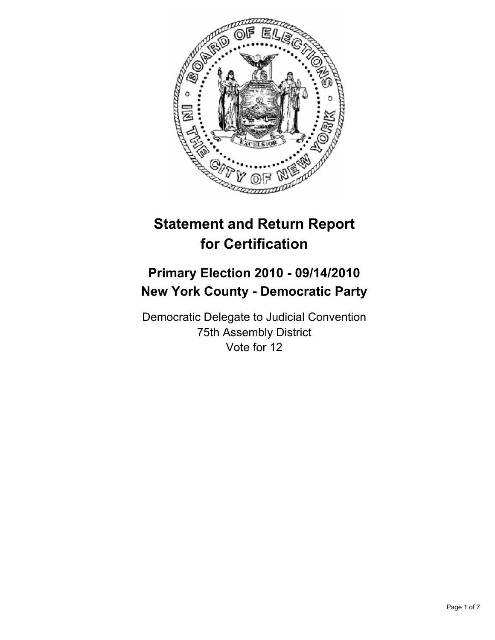

# **Statement and Return Report for Certification**

## **Primary Election 2010 - 09/14/2010 New York County - Democratic Party**

Democratic Delegate to Judicial Convention 75th Assembly District Vote for 12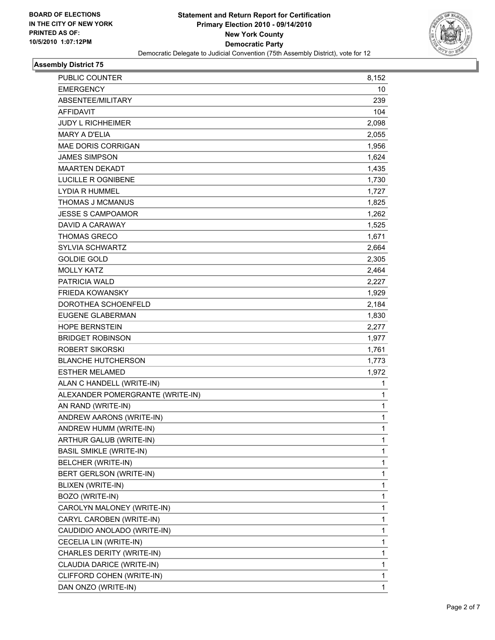

## **Assembly District 75**

| PUBLIC COUNTER                   | 8,152        |
|----------------------------------|--------------|
| <b>EMERGENCY</b>                 | 10           |
| ABSENTEE/MILITARY                | 239          |
| <b>AFFIDAVIT</b>                 | 104          |
| <b>JUDY L RICHHEIMER</b>         | 2,098        |
| <b>MARY A D'ELIA</b>             | 2,055        |
| <b>MAE DORIS CORRIGAN</b>        | 1,956        |
| <b>JAMES SIMPSON</b>             | 1,624        |
| <b>MAARTEN DEKADT</b>            | 1,435        |
| LUCILLE R OGNIBENE               | 1,730        |
| <b>LYDIA R HUMMEL</b>            | 1,727        |
| <b>THOMAS J MCMANUS</b>          | 1,825        |
| <b>JESSE S CAMPOAMOR</b>         | 1,262        |
| DAVID A CARAWAY                  | 1,525        |
| <b>THOMAS GRECO</b>              | 1,671        |
| <b>SYLVIA SCHWARTZ</b>           | 2,664        |
| <b>GOLDIE GOLD</b>               | 2,305        |
| <b>MOLLY KATZ</b>                | 2,464        |
| <b>PATRICIA WALD</b>             | 2,227        |
| <b>FRIEDA KOWANSKY</b>           | 1,929        |
| DOROTHEA SCHOENFELD              | 2,184        |
| <b>EUGENE GLABERMAN</b>          | 1,830        |
| <b>HOPE BERNSTEIN</b>            | 2,277        |
| <b>BRIDGET ROBINSON</b>          | 1,977        |
| <b>ROBERT SIKORSKI</b>           | 1,761        |
| <b>BLANCHE HUTCHERSON</b>        | 1,773        |
| <b>ESTHER MELAMED</b>            | 1,972        |
| ALAN C HANDELL (WRITE-IN)        | 1            |
| ALEXANDER POMERGRANTE (WRITE-IN) | 1            |
| AN RAND (WRITE-IN)               | 1            |
| ANDREW AARONS (WRITE-IN)         | 1            |
| ANDREW HUMM (WRITE-IN)           | $\mathbf{1}$ |
| ARTHUR GALUB (WRITE-IN)          | 1            |
| <b>BASIL SMIKLE (WRITE-IN)</b>   | 1            |
| BELCHER (WRITE-IN)               | 1            |
| BERT GERLSON (WRITE-IN)          | 1            |
| BLIXEN (WRITE-IN)                | 1            |
| BOZO (WRITE-IN)                  | 1            |
| CAROLYN MALONEY (WRITE-IN)       | 1            |
| CARYL CAROBEN (WRITE-IN)         | 1            |
| CAUDIDIO ANOLADO (WRITE-IN)      | 1            |
| CECELIA LIN (WRITE-IN)           | 1            |
| CHARLES DERITY (WRITE-IN)        | 1            |
| CLAUDIA DARICE (WRITE-IN)        | 1            |
| CLIFFORD COHEN (WRITE-IN)        | 1            |
| DAN ONZO (WRITE-IN)              | 1            |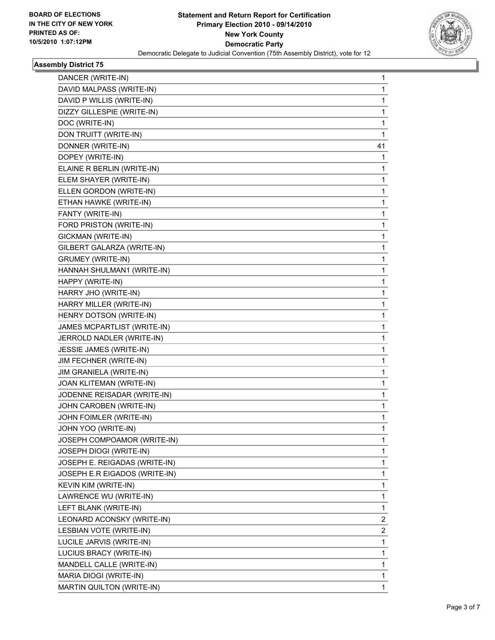

## **Assembly District 75**

| DANCER (WRITE-IN)             | 1  |
|-------------------------------|----|
| DAVID MALPASS (WRITE-IN)      | 1  |
| DAVID P WILLIS (WRITE-IN)     | 1  |
| DIZZY GILLESPIE (WRITE-IN)    | 1  |
| DOC (WRITE-IN)                | 1  |
| DON TRUITT (WRITE-IN)         | 1  |
| DONNER (WRITE-IN)             | 41 |
| DOPEY (WRITE-IN)              | 1  |
| ELAINE R BERLIN (WRITE-IN)    | 1  |
| ELEM SHAYER (WRITE-IN)        | 1  |
| ELLEN GORDON (WRITE-IN)       | 1  |
| ETHAN HAWKE (WRITE-IN)        | 1  |
| FANTY (WRITE-IN)              | 1  |
| FORD PRISTON (WRITE-IN)       | 1  |
| GICKMAN (WRITE-IN)            | 1  |
| GILBERT GALARZA (WRITE-IN)    | 1  |
| <b>GRUMEY (WRITE-IN)</b>      | 1  |
| HANNAH SHULMAN1 (WRITE-IN)    | 1  |
| HAPPY (WRITE-IN)              | 1  |
| HARRY JHO (WRITE-IN)          | 1  |
| HARRY MILLER (WRITE-IN)       | 1  |
| HENRY DOTSON (WRITE-IN)       | 1  |
| JAMES MCPARTLIST (WRITE-IN)   | 1  |
| JERROLD NADLER (WRITE-IN)     | 1  |
| JESSIE JAMES (WRITE-IN)       | 1  |
| JIM FECHNER (WRITE-IN)        | 1  |
| JIM GRANIELA (WRITE-IN)       | 1  |
| JOAN KLITEMAN (WRITE-IN)      | 1  |
| JODENNE REISADAR (WRITE-IN)   | 1  |
| JOHN CAROBEN (WRITE-IN)       | 1  |
| JOHN FOIMLER (WRITE-IN)       | 1  |
| JOHN YOO (WRITE-IN)           | 1  |
| JOSEPH COMPOAMOR (WRITE-IN)   | 1  |
| JOSEPH DIOGI (WRITE-IN)       | 1  |
| JOSEPH E. REIGADAS (WRITE-IN) | 1  |
| JOSEPH E.R EIGADOS (WRITE-IN) | 1  |
| KEVIN KIM (WRITE-IN)          | 1  |
| LAWRENCE WU (WRITE-IN)        | 1  |
| LEFT BLANK (WRITE-IN)         | 1  |
| LEONARD ACONSKY (WRITE-IN)    | 2  |
| LESBIAN VOTE (WRITE-IN)       | 2  |
| LUCILE JARVIS (WRITE-IN)      | 1  |
| LUCIUS BRACY (WRITE-IN)       | 1  |
| MANDELL CALLE (WRITE-IN)      | 1  |
| MARIA DIOGI (WRITE-IN)        | 1  |
| MARTIN QUILTON (WRITE-IN)     | 1  |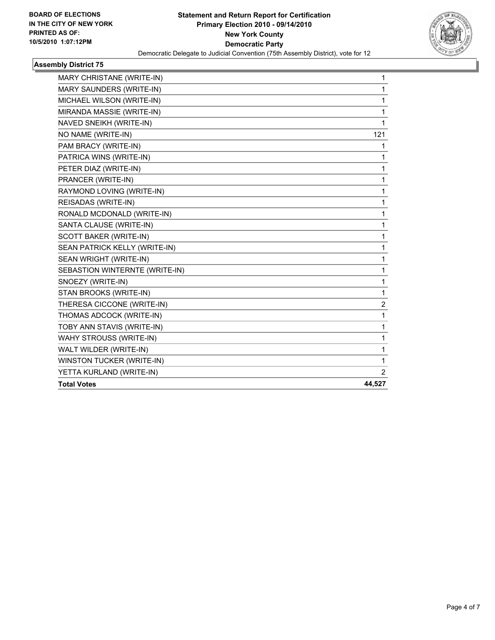

## **Assembly District 75**

| <b>MARY CHRISTANE (WRITE-IN)</b> | 1            |
|----------------------------------|--------------|
| MARY SAUNDERS (WRITE-IN)         | 1            |
| MICHAEL WILSON (WRITE-IN)        | 1            |
| MIRANDA MASSIE (WRITE-IN)        | 1            |
| NAVED SNEIKH (WRITE-IN)          | 1            |
| NO NAME (WRITE-IN)               | 121          |
| PAM BRACY (WRITE-IN)             | 1            |
| PATRICA WINS (WRITE-IN)          | 1            |
| PETER DIAZ (WRITE-IN)            | 1            |
| PRANCER (WRITE-IN)               | 1            |
| RAYMOND LOVING (WRITE-IN)        | 1            |
| REISADAS (WRITE-IN)              | 1            |
| RONALD MCDONALD (WRITE-IN)       | 1            |
| SANTA CLAUSE (WRITE-IN)          | 1            |
| SCOTT BAKER (WRITE-IN)           | 1            |
| SEAN PATRICK KELLY (WRITE-IN)    | 1            |
| SEAN WRIGHT (WRITE-IN)           | $\mathbf{1}$ |
| SEBASTION WINTERNTE (WRITE-IN)   | 1            |
| SNOEZY (WRITE-IN)                | 1            |
| STAN BROOKS (WRITE-IN)           | 1            |
| THERESA CICCONE (WRITE-IN)       | 2            |
| THOMAS ADCOCK (WRITE-IN)         | 1            |
| TOBY ANN STAVIS (WRITE-IN)       | 1            |
| <b>WAHY STROUSS (WRITE-IN)</b>   | 1            |
| WALT WILDER (WRITE-IN)           | 1            |
| WINSTON TUCKER (WRITE-IN)        | 1            |
| YETTA KURLAND (WRITE-IN)         | 2            |
| <b>Total Votes</b>               | 44,527       |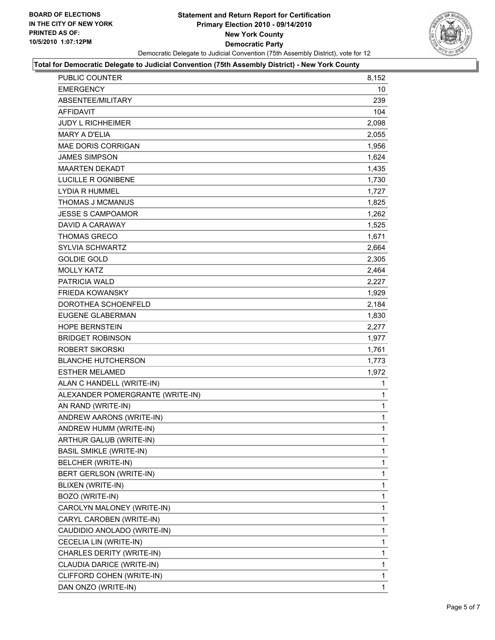

#### **Total for Democratic Delegate to Judicial Convention (75th Assembly District) - New York County**

| <b>PUBLIC COUNTER</b>            | 8,152        |
|----------------------------------|--------------|
| <b>EMERGENCY</b>                 | 10           |
| ABSENTEE/MILITARY                | 239          |
| <b>AFFIDAVIT</b>                 | 104          |
| <b>JUDY L RICHHEIMER</b>         | 2,098        |
| <b>MARY A D'ELIA</b>             | 2,055        |
| <b>MAE DORIS CORRIGAN</b>        | 1,956        |
| <b>JAMES SIMPSON</b>             | 1,624        |
| <b>MAARTEN DEKADT</b>            | 1,435        |
| LUCILLE R OGNIBENE               | 1,730        |
| <b>LYDIA R HUMMEL</b>            | 1,727        |
| THOMAS J MCMANUS                 | 1,825        |
| <b>JESSE S CAMPOAMOR</b>         | 1,262        |
| DAVID A CARAWAY                  | 1,525        |
| <b>THOMAS GRECO</b>              | 1,671        |
| SYLVIA SCHWARTZ                  | 2,664        |
| <b>GOLDIE GOLD</b>               | 2.305        |
| <b>MOLLY KATZ</b>                | 2,464        |
| <b>PATRICIA WALD</b>             | 2,227        |
| <b>FRIEDA KOWANSKY</b>           | 1,929        |
| DOROTHEA SCHOENFELD              | 2,184        |
| EUGENE GLABERMAN                 | 1,830        |
| <b>HOPE BERNSTEIN</b>            | 2,277        |
| <b>BRIDGET ROBINSON</b>          | 1,977        |
| ROBERT SIKORSKI                  | 1,761        |
| <b>BLANCHE HUTCHERSON</b>        | 1,773        |
| <b>ESTHER MELAMED</b>            | 1,972        |
| ALAN C HANDELL (WRITE-IN)        | 1            |
| ALEXANDER POMERGRANTE (WRITE-IN) | 1            |
| AN RAND (WRITE-IN)               | 1            |
| ANDREW AARONS (WRITE-IN)         | 1            |
| ANDREW HUMM (WRITE-IN)           | $\mathbf{1}$ |
| ARTHUR GALUB (WRITE-IN)          | 1            |
| <b>BASIL SMIKLE (WRITE-IN)</b>   | $\mathbf{1}$ |
| BELCHER (WRITE-IN)               | 1            |
| BERT GERLSON (WRITE-IN)          | 1            |
| BLIXEN (WRITE-IN)                | 1            |
| BOZO (WRITE-IN)                  | 1            |
| CAROLYN MALONEY (WRITE-IN)       | 1            |
| CARYL CAROBEN (WRITE-IN)         | 1            |
| CAUDIDIO ANOLADO (WRITE-IN)      | 1            |
| CECELIA LIN (WRITE-IN)           | 1            |
| CHARLES DERITY (WRITE-IN)        | 1            |
| CLAUDIA DARICE (WRITE-IN)        | 1            |
| CLIFFORD COHEN (WRITE-IN)        | 1            |
| DAN ONZO (WRITE-IN)              | 1            |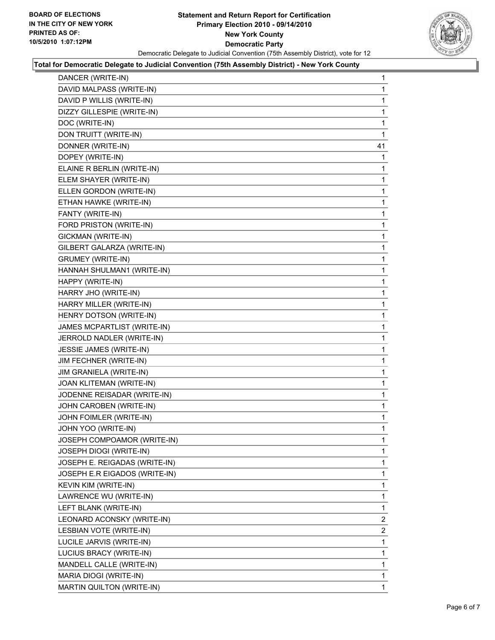

#### **Total for Democratic Delegate to Judicial Convention (75th Assembly District) - New York County**

| DANCER (WRITE-IN)             | 1              |
|-------------------------------|----------------|
| DAVID MALPASS (WRITE-IN)      | 1              |
| DAVID P WILLIS (WRITE-IN)     | 1              |
| DIZZY GILLESPIE (WRITE-IN)    | 1              |
| DOC (WRITE-IN)                | 1              |
| DON TRUITT (WRITE-IN)         | 1              |
| DONNER (WRITE-IN)             | 41             |
| DOPEY (WRITE-IN)              | 1              |
| ELAINE R BERLIN (WRITE-IN)    | 1              |
| ELEM SHAYER (WRITE-IN)        | 1              |
| ELLEN GORDON (WRITE-IN)       | 1              |
| ETHAN HAWKE (WRITE-IN)        | 1              |
| FANTY (WRITE-IN)              | 1              |
| FORD PRISTON (WRITE-IN)       | 1              |
| GICKMAN (WRITE-IN)            | 1              |
| GILBERT GALARZA (WRITE-IN)    | 1              |
| <b>GRUMEY (WRITE-IN)</b>      | 1              |
| HANNAH SHULMAN1 (WRITE-IN)    | 1              |
| HAPPY (WRITE-IN)              | 1              |
| HARRY JHO (WRITE-IN)          | 1              |
| HARRY MILLER (WRITE-IN)       | 1              |
| HENRY DOTSON (WRITE-IN)       | 1              |
| JAMES MCPARTLIST (WRITE-IN)   | 1              |
| JERROLD NADLER (WRITE-IN)     | 1              |
| JESSIE JAMES (WRITE-IN)       | 1              |
| JIM FECHNER (WRITE-IN)        | 1              |
| JIM GRANIELA (WRITE-IN)       | 1              |
| JOAN KLITEMAN (WRITE-IN)      | 1              |
| JODENNE REISADAR (WRITE-IN)   | 1              |
| JOHN CAROBEN (WRITE-IN)       | 1              |
| JOHN FOIMLER (WRITE-IN)       | 1              |
| JOHN YOO (WRITE-IN)           | 1              |
| JOSEPH COMPOAMOR (WRITE-IN)   | 1              |
| JOSEPH DIOGI (WRITE-IN)       | 1              |
| JOSEPH E. REIGADAS (WRITE-IN) | 1              |
| JOSEPH E.R EIGADOS (WRITE-IN) | 1              |
| KEVIN KIM (WRITE-IN)          | 1              |
| LAWRENCE WU (WRITE-IN)        | 1              |
| LEFT BLANK (WRITE-IN)         | 1              |
| LEONARD ACONSKY (WRITE-IN)    | $\mathbf{2}$   |
| LESBIAN VOTE (WRITE-IN)       | $\overline{2}$ |
| LUCILE JARVIS (WRITE-IN)      | 1              |
| LUCIUS BRACY (WRITE-IN)       | 1              |
| MANDELL CALLE (WRITE-IN)      | 1              |
| MARIA DIOGI (WRITE-IN)        | 1              |
| MARTIN QUILTON (WRITE-IN)     | $\mathbf 1$    |